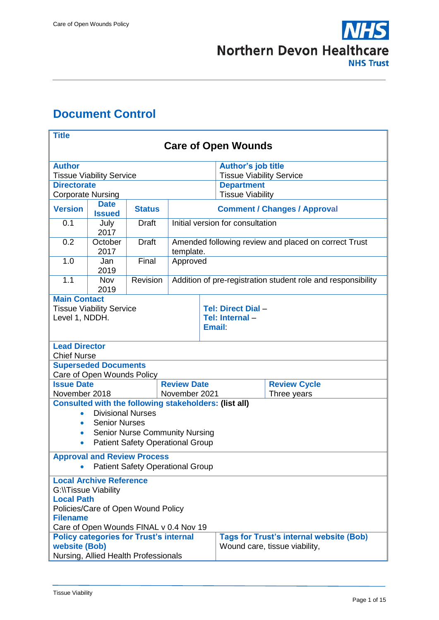

# <span id="page-0-0"></span>**Document Control**

| <b>Title</b>                                                                                                                                                                                                                                                                             |                                 |               |                                                        |                                                                   |                                              |                     |
|------------------------------------------------------------------------------------------------------------------------------------------------------------------------------------------------------------------------------------------------------------------------------------------|---------------------------------|---------------|--------------------------------------------------------|-------------------------------------------------------------------|----------------------------------------------|---------------------|
| <b>Care of Open Wounds</b>                                                                                                                                                                                                                                                               |                                 |               |                                                        |                                                                   |                                              |                     |
| <b>Author</b>                                                                                                                                                                                                                                                                            |                                 |               |                                                        |                                                                   | <b>Author's job title</b>                    |                     |
|                                                                                                                                                                                                                                                                                          | <b>Tissue Viability Service</b> |               |                                                        |                                                                   | <b>Tissue Viability Service</b>              |                     |
| <b>Directorate</b><br><b>Corporate Nursing</b>                                                                                                                                                                                                                                           |                                 |               |                                                        |                                                                   | <b>Department</b><br><b>Tissue Viability</b> |                     |
|                                                                                                                                                                                                                                                                                          | <b>Date</b>                     |               |                                                        |                                                                   |                                              |                     |
| <b>Version</b>                                                                                                                                                                                                                                                                           | <b>Issued</b>                   | <b>Status</b> |                                                        | <b>Comment / Changes / Approval</b>                               |                                              |                     |
| 0.1                                                                                                                                                                                                                                                                                      | July<br>2017                    | <b>Draft</b>  |                                                        | Initial version for consultation                                  |                                              |                     |
| 0.2                                                                                                                                                                                                                                                                                      | October<br>2017                 | <b>Draft</b>  |                                                        | Amended following review and placed on correct Trust<br>template. |                                              |                     |
| 1.0                                                                                                                                                                                                                                                                                      | Jan<br>2019                     | Final         |                                                        | Approved                                                          |                                              |                     |
| 1.1                                                                                                                                                                                                                                                                                      | <b>Nov</b><br>2019              | Revision      |                                                        | Addition of pre-registration student role and responsibility      |                                              |                     |
| <b>Main Contact</b><br><b>Tissue Viability Service</b><br>Level 1, NDDH.                                                                                                                                                                                                                 |                                 |               | Tel: Direct Dial -<br>Tel: Internal -<br><b>Email:</b> |                                                                   |                                              |                     |
| <b>Lead Director</b><br><b>Chief Nurse</b>                                                                                                                                                                                                                                               |                                 |               |                                                        |                                                                   |                                              |                     |
|                                                                                                                                                                                                                                                                                          | <b>Superseded Documents</b>     |               |                                                        |                                                                   |                                              |                     |
| <b>Issue Date</b>                                                                                                                                                                                                                                                                        | Care of Open Wounds Policy      |               | <b>Review Date</b>                                     |                                                                   |                                              | <b>Review Cycle</b> |
| November 2018                                                                                                                                                                                                                                                                            |                                 |               |                                                        | November 2021                                                     |                                              | Three years         |
| <b>Consulted with the following stakeholders: (list all)</b><br><b>Divisional Nurses</b><br><b>Senior Nurses</b><br>$\bullet$<br><b>Senior Nurse Community Nursing</b><br>$\bullet$<br><b>Patient Safety Operational Group</b><br>$\bullet$                                              |                                 |               |                                                        |                                                                   |                                              |                     |
| <b>Approval and Review Process</b><br><b>Patient Safety Operational Group</b>                                                                                                                                                                                                            |                                 |               |                                                        |                                                                   |                                              |                     |
| <b>Local Archive Reference</b><br><b>G:\\Tissue Viability</b><br><b>Local Path</b><br>Policies/Care of Open Wound Policy<br><b>Filename</b><br>Care of Open Wounds FINAL v 0.4 Nov 19<br><b>Policy categories for Trust's internal</b><br><b>Tags for Trust's internal website (Bob)</b> |                                 |               |                                                        |                                                                   |                                              |                     |
| website (Bob)<br>Wound care, tissue viability,<br>Nursing, Allied Health Professionals                                                                                                                                                                                                   |                                 |               |                                                        |                                                                   |                                              |                     |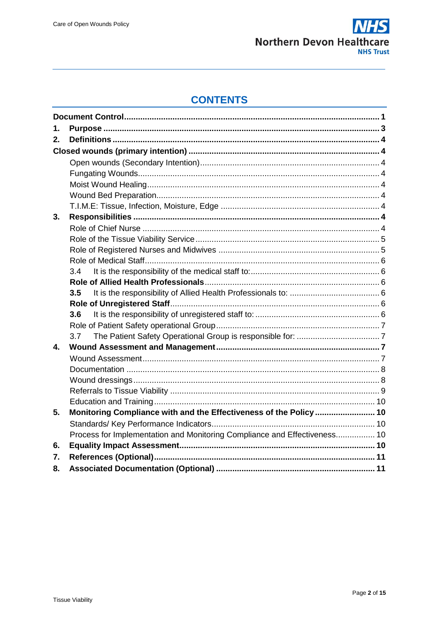

# **CONTENTS**

| 1. |                                                                           |  |
|----|---------------------------------------------------------------------------|--|
| 2. |                                                                           |  |
|    |                                                                           |  |
|    |                                                                           |  |
|    |                                                                           |  |
|    |                                                                           |  |
|    |                                                                           |  |
|    |                                                                           |  |
| 3. |                                                                           |  |
|    |                                                                           |  |
|    |                                                                           |  |
|    |                                                                           |  |
|    |                                                                           |  |
|    | 3.4                                                                       |  |
|    |                                                                           |  |
|    | 3.5                                                                       |  |
|    |                                                                           |  |
|    | 3.6                                                                       |  |
|    |                                                                           |  |
|    | 3.7                                                                       |  |
| 4. |                                                                           |  |
|    |                                                                           |  |
|    |                                                                           |  |
|    |                                                                           |  |
|    |                                                                           |  |
|    |                                                                           |  |
| 5. | Monitoring Compliance with and the Effectiveness of the Policy  10        |  |
|    |                                                                           |  |
|    | Process for Implementation and Monitoring Compliance and Effectiveness 10 |  |
| 6. |                                                                           |  |
| 7. |                                                                           |  |
| 8. |                                                                           |  |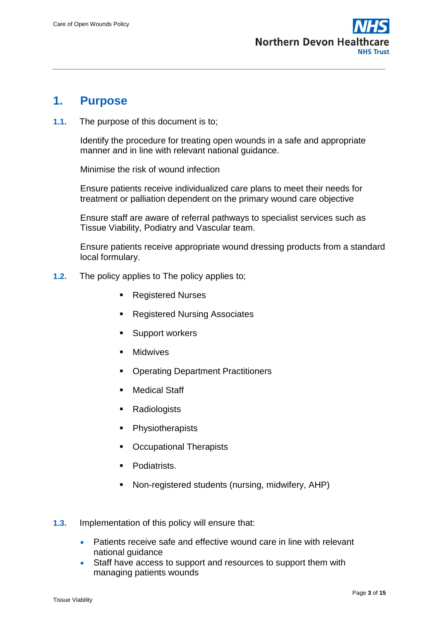

### <span id="page-2-0"></span>**1. Purpose**

**1.1.** The purpose of this document is to;

Identify the procedure for treating open wounds in a safe and appropriate manner and in line with relevant national guidance.

Minimise the risk of wound infection

Ensure patients receive individualized care plans to meet their needs for treatment or palliation dependent on the primary wound care objective

Ensure staff are aware of referral pathways to specialist services such as Tissue Viability, Podiatry and Vascular team.

Ensure patients receive appropriate wound dressing products from a standard local formulary.

- **1.2.** The policy applies to The policy applies to;
	- Registered Nurses
	- Registered Nursing Associates
	- Support workers
	- **Midwives**
	- Operating Department Practitioners
	- Medical Staff
	- **Radiologists**
	- Physiotherapists
	- Occupational Therapists
	- Podiatrists.
	- Non-registered students (nursing, midwifery, AHP)
- **1.3.** Implementation of this policy will ensure that:
	- Patients receive safe and effective wound care in line with relevant national guidance
	- Staff have access to support and resources to support them with managing patients wounds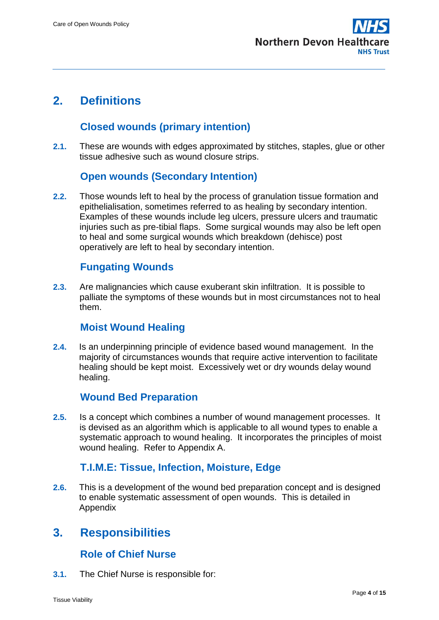

# <span id="page-3-1"></span><span id="page-3-0"></span>**2. Definitions**

### **Closed wounds (primary intention)**

**2.1.** These are wounds with edges approximated by stitches, staples, glue or other tissue adhesive such as wound closure strips.

### **Open wounds (Secondary Intention)**

<span id="page-3-2"></span>**2.2.** Those wounds left to heal by the process of granulation tissue formation and epithelialisation, sometimes referred to as healing by secondary intention. Examples of these wounds include leg ulcers, pressure ulcers and traumatic injuries such as pre-tibial flaps. Some surgical wounds may also be left open to heal and some surgical wounds which breakdown (dehisce) post operatively are left to heal by secondary intention.

### **Fungating Wounds**

<span id="page-3-3"></span>**2.3.** Are malignancies which cause exuberant skin infiltration. It is possible to palliate the symptoms of these wounds but in most circumstances not to heal them.

#### **Moist Wound Healing**

<span id="page-3-4"></span>**2.4.** Is an underpinning principle of evidence based wound management. In the majority of circumstances wounds that require active intervention to facilitate healing should be kept moist. Excessively wet or dry wounds delay wound healing.

### **Wound Bed Preparation**

<span id="page-3-5"></span>**2.5.** Is a concept which combines a number of wound management processes. It is devised as an algorithm which is applicable to all wound types to enable a systematic approach to wound healing. It incorporates the principles of moist wound healing. Refer to Appendix A.

#### **T.I.M.E: Tissue, Infection, Moisture, Edge**

<span id="page-3-6"></span>**2.6.** This is a development of the wound bed preparation concept and is designed to enable systematic assessment of open wounds. This is detailed in Appendix

# <span id="page-3-7"></span>**3. Responsibilities**

#### **Role of Chief Nurse**

<span id="page-3-8"></span>**3.1.** The Chief Nurse is responsible for: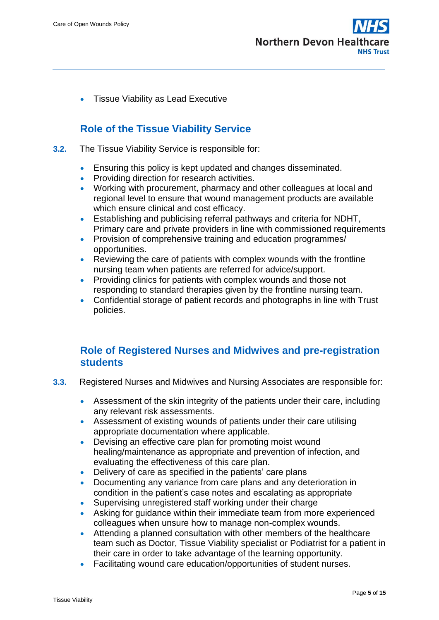

• Tissue Viability as Lead Executive

### **Role of the Tissue Viability Service**

- <span id="page-4-0"></span>**3.2.** The Tissue Viability Service is responsible for:
	- **Ensuring this policy is kept updated and changes disseminated.**
	- Providing direction for research activities.
	- Working with procurement, pharmacy and other colleagues at local and regional level to ensure that wound management products are available which ensure clinical and cost efficacy.
	- Establishing and publicising referral pathways and criteria for NDHT, Primary care and private providers in line with commissioned requirements
	- Provision of comprehensive training and education programmes/ opportunities.
	- Reviewing the care of patients with complex wounds with the frontline nursing team when patients are referred for advice/support.
	- Providing clinics for patients with complex wounds and those not responding to standard therapies given by the frontline nursing team.
	- Confidential storage of patient records and photographs in line with Trust policies.

#### <span id="page-4-1"></span>**Role of Registered Nurses and Midwives and pre-registration students**

- **3.3.** Registered Nurses and Midwives and Nursing Associates are responsible for:
	- Assessment of the skin integrity of the patients under their care, including any relevant risk assessments.
	- Assessment of existing wounds of patients under their care utilising appropriate documentation where applicable.
	- Devising an effective care plan for promoting moist wound healing/maintenance as appropriate and prevention of infection, and evaluating the effectiveness of this care plan.
	- Delivery of care as specified in the patients' care plans
	- Documenting any variance from care plans and any deterioration in condition in the patient's case notes and escalating as appropriate
	- Supervising unregistered staff working under their charge
	- Asking for guidance within their immediate team from more experienced colleagues when unsure how to manage non-complex wounds.
	- Attending a planned consultation with other members of the healthcare team such as Doctor, Tissue Viability specialist or Podiatrist for a patient in their care in order to take advantage of the learning opportunity.
	- Facilitating wound care education/opportunities of student nurses.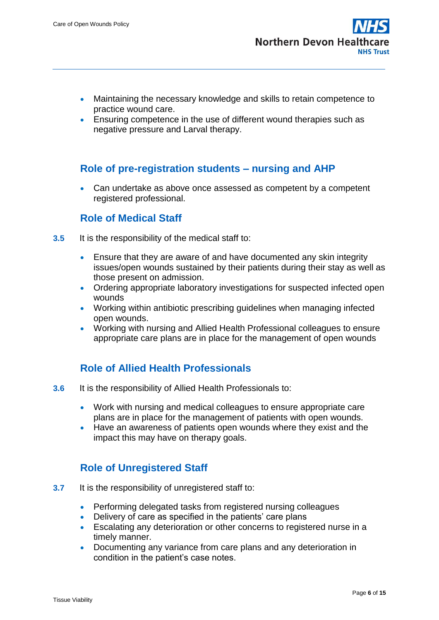- Maintaining the necessary knowledge and skills to retain competence to practice wound care.
- Ensuring competence in the use of different wound therapies such as negative pressure and Larval therapy.

### **Role of pre-registration students – nursing and AHP**

 Can undertake as above once assessed as competent by a competent registered professional.

#### **Role of Medical Staff**

- <span id="page-5-1"></span><span id="page-5-0"></span>**3.5** It is the responsibility of the medical staff to:
	- Ensure that they are aware of and have documented any skin integrity issues/open wounds sustained by their patients during their stay as well as those present on admission.
	- Ordering appropriate laboratory investigations for suspected infected open wounds
	- Working within antibiotic prescribing guidelines when managing infected open wounds.
	- Working with nursing and Allied Health Professional colleagues to ensure appropriate care plans are in place for the management of open wounds

### **Role of Allied Health Professionals**

- <span id="page-5-3"></span><span id="page-5-2"></span>**3.6** It is the responsibility of Allied Health Professionals to:
	- Work with nursing and medical colleagues to ensure appropriate care plans are in place for the management of patients with open wounds.
	- Have an awareness of patients open wounds where they exist and the impact this may have on therapy goals.

### **Role of Unregistered Staff**

- <span id="page-5-5"></span><span id="page-5-4"></span>**3.7** It is the responsibility of unregistered staff to:
	- Performing delegated tasks from registered nursing colleagues
	- Delivery of care as specified in the patients' care plans
	- Escalating any deterioration or other concerns to registered nurse in a timely manner.
	- Documenting any variance from care plans and any deterioration in condition in the patient's case notes.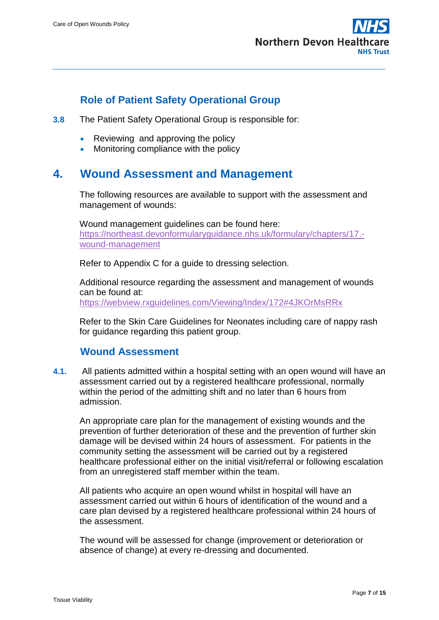

### **Role of Patient Safety Operational Group**

- <span id="page-6-1"></span><span id="page-6-0"></span>**3.8** The Patient Safety Operational Group is responsible for:
	- Reviewing and approving the policy
	- Monitoring compliance with the policy

## <span id="page-6-3"></span><span id="page-6-2"></span>**4. Wound Assessment and Management**

The following resources are available to support with the assessment and management of wounds:

Wound management guidelines can be found here: [https://northeast.devonformularyguidance.nhs.uk/formulary/chapters/17.](https://northeast.devonformularyguidance.nhs.uk/formulary/chapters/17.-wound-management) [wound-management](https://northeast.devonformularyguidance.nhs.uk/formulary/chapters/17.-wound-management) 

Refer to Appendix C for a guide to dressing selection.

Additional resource regarding the assessment and management of wounds can be found at: <https://webview.rxguidelines.com/Viewing/Index/172#4JKOrMsRRx>

Refer to the Skin Care Guidelines for Neonates including care of nappy rash for guidance regarding this patient group.

#### **Wound Assessment**

**4.1.** All patients admitted within a hospital setting with an open wound will have an assessment carried out by a registered healthcare professional, normally within the period of the admitting shift and no later than 6 hours from admission.

An appropriate care plan for the management of existing wounds and the prevention of further deterioration of these and the prevention of further skin damage will be devised within 24 hours of assessment. For patients in the community setting the assessment will be carried out by a registered healthcare professional either on the initial visit/referral or following escalation from an unregistered staff member within the team.

All patients who acquire an open wound whilst in hospital will have an assessment carried out within 6 hours of identification of the wound and a care plan devised by a registered healthcare professional within 24 hours of the assessment.

The wound will be assessed for change (improvement or deterioration or absence of change) at every re-dressing and documented.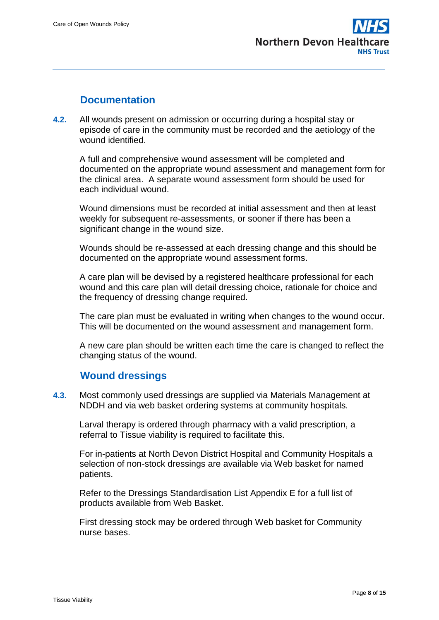

#### **Documentation**

<span id="page-7-0"></span>**4.2.** All wounds present on admission or occurring during a hospital stay or episode of care in the community must be recorded and the aetiology of the wound identified.

A full and comprehensive wound assessment will be completed and documented on the appropriate wound assessment and management form for the clinical area. A separate wound assessment form should be used for each individual wound.

Wound dimensions must be recorded at initial assessment and then at least weekly for subsequent re-assessments, or sooner if there has been a significant change in the wound size.

Wounds should be re-assessed at each dressing change and this should be documented on the appropriate wound assessment forms.

A care plan will be devised by a registered healthcare professional for each wound and this care plan will detail dressing choice, rationale for choice and the frequency of dressing change required.

The care plan must be evaluated in writing when changes to the wound occur. This will be documented on the wound assessment and management form.

A new care plan should be written each time the care is changed to reflect the changing status of the wound.

#### **Wound dressings**

<span id="page-7-1"></span>**4.3.** Most commonly used dressings are supplied via Materials Management at NDDH and via web basket ordering systems at community hospitals.

Larval therapy is ordered through pharmacy with a valid prescription, a referral to Tissue viability is required to facilitate this.

For in-patients at North Devon District Hospital and Community Hospitals a selection of non-stock dressings are available via Web basket for named patients.

Refer to the Dressings Standardisation List Appendix E for a full list of products available from Web Basket.

First dressing stock may be ordered through Web basket for Community nurse bases.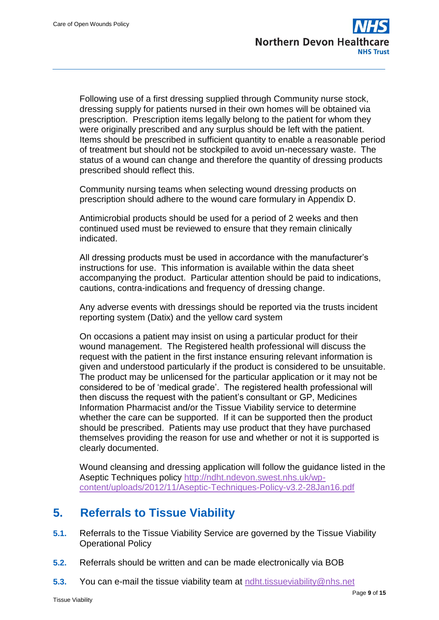Following use of a first dressing supplied through Community nurse stock, dressing supply for patients nursed in their own homes will be obtained via prescription. Prescription items legally belong to the patient for whom they were originally prescribed and any surplus should be left with the patient. Items should be prescribed in sufficient quantity to enable a reasonable period of treatment but should not be stockpiled to avoid un-necessary waste. The status of a wound can change and therefore the quantity of dressing products prescribed should reflect this.

Community nursing teams when selecting wound dressing products on prescription should adhere to the wound care formulary in Appendix D.

Antimicrobial products should be used for a period of 2 weeks and then continued used must be reviewed to ensure that they remain clinically indicated.

All dressing products must be used in accordance with the manufacturer's instructions for use. This information is available within the data sheet accompanying the product. Particular attention should be paid to indications, cautions, contra-indications and frequency of dressing change.

Any adverse events with dressings should be reported via the trusts incident reporting system (Datix) and the yellow card system

On occasions a patient may insist on using a particular product for their wound management. The Registered health professional will discuss the request with the patient in the first instance ensuring relevant information is given and understood particularly if the product is considered to be unsuitable. The product may be unlicensed for the particular application or it may not be considered to be of 'medical grade'. The registered health professional will then discuss the request with the patient's consultant or GP, Medicines Information Pharmacist and/or the Tissue Viability service to determine whether the care can be supported. If it can be supported then the product should be prescribed. Patients may use product that they have purchased themselves providing the reason for use and whether or not it is supported is clearly documented.

<span id="page-8-0"></span>Wound cleansing and dressing application will follow the guidance listed in the Aseptic Techniques policy [http://ndht.ndevon.swest.nhs.uk/wp](http://ndht.ndevon.swest.nhs.uk/wp-content/uploads/2012/11/Aseptic-Techniques-Policy-v3.2-28Jan16.pdf)[content/uploads/2012/11/Aseptic-Techniques-Policy-v3.2-28Jan16.pdf](http://ndht.ndevon.swest.nhs.uk/wp-content/uploads/2012/11/Aseptic-Techniques-Policy-v3.2-28Jan16.pdf)

# **5. Referrals to Tissue Viability**

- **5.1.** Referrals to the Tissue Viability Service are governed by the Tissue Viability Operational Policy
- **5.2.** Referrals should be written and can be made electronically via BOB
- **5.3.** You can e-mail the tissue viability team at [ndht.tissueviability@nhs.net](mailto:ndht.tissueviability@nhs.net)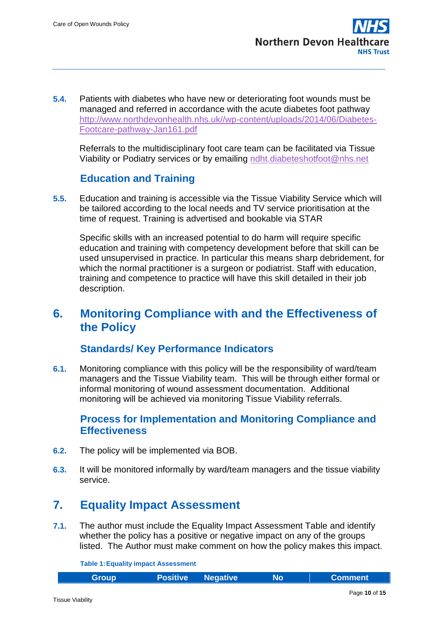**5.4.** Patients with diabetes who have new or deteriorating foot wounds must be managed and referred in accordance with the acute diabetes foot pathway [http://www.northdevonhealth.nhs.uk//wp-content/uploads/2014/06/Diabetes-](http://www.northdevonhealth.nhs.uk/wp-content/uploads/2014/06/Diabetes-Footcare-pathway-Jan161.pdf)[Footcare-pathway-Jan161.pdf](http://www.northdevonhealth.nhs.uk/wp-content/uploads/2014/06/Diabetes-Footcare-pathway-Jan161.pdf) 

Referrals to the multidisciplinary foot care team can be facilitated via Tissue Viability or Podiatry services or by emailing [ndht.diabeteshotfoot@nhs.net](mailto:ndht.diabeteshotfoot@nhs.net)

### **Education and Training**

<span id="page-9-0"></span>**5.5.** Education and training is accessible via the Tissue Viability Service which will be tailored according to the local needs and TV service prioritisation at the time of request. Training is advertised and bookable via STAR

Specific skills with an increased potential to do harm will require specific education and training with competency development before that skill can be used unsupervised in practice. In particular this means sharp debridement, for which the normal practitioner is a surgeon or podiatrist. Staff with education, training and competence to practice will have this skill detailed in their job description.

# <span id="page-9-1"></span>**6. Monitoring Compliance with and the Effectiveness of the Policy**

#### **Standards/ Key Performance Indicators**

<span id="page-9-2"></span>**6.1.** Monitoring compliance with this policy will be the responsibility of ward/team managers and the Tissue Viability team. This will be through either formal or informal monitoring of wound assessment documentation. Additional monitoring will be achieved via monitoring Tissue Viability referrals.

### <span id="page-9-3"></span>**Process for Implementation and Monitoring Compliance and Effectiveness**

- **6.2.** The policy will be implemented via BOB.
- **6.3.** It will be monitored informally by ward/team managers and the tissue viability service.

# <span id="page-9-4"></span>**7. Equality Impact Assessment**

**7.1.** The author must include the Equality Impact Assessment Table and identify whether the policy has a positive or negative impact on any of the groups listed. The Author must make comment on how the policy makes this impact.

**Table 1:Equality impact Assessment**

|  | <b>Group</b> |  | <b>Positive Negative</b> | No. | <b>Comment</b> |
|--|--------------|--|--------------------------|-----|----------------|
|--|--------------|--|--------------------------|-----|----------------|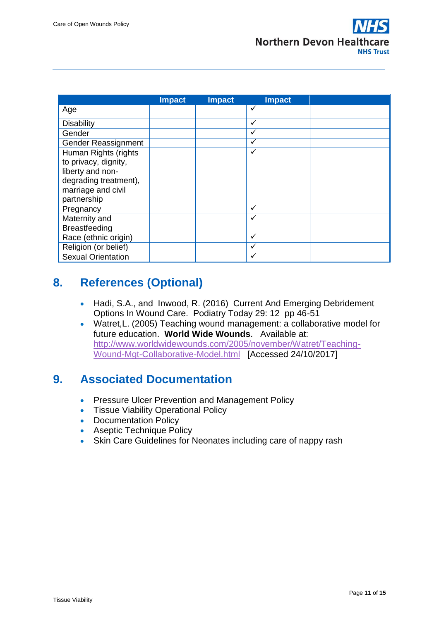

|                           | <b>Impact</b> | <b>Impact</b> | <b>Impact</b> |  |
|---------------------------|---------------|---------------|---------------|--|
| Age                       |               |               | ✓             |  |
| Disability                |               |               | ✓             |  |
| Gender                    |               |               |               |  |
| Gender Reassignment       |               |               | ✓             |  |
| Human Rights (rights      |               |               | ✓             |  |
| to privacy, dignity,      |               |               |               |  |
| liberty and non-          |               |               |               |  |
| degrading treatment),     |               |               |               |  |
| marriage and civil        |               |               |               |  |
| partnership               |               |               |               |  |
| Pregnancy                 |               |               | ✓             |  |
| Maternity and             |               |               |               |  |
| <b>Breastfeeding</b>      |               |               |               |  |
| Race (ethnic origin)      |               |               | ✓             |  |
| Religion (or belief)      |               |               | ✓             |  |
| <b>Sexual Orientation</b> |               |               |               |  |

# <span id="page-10-0"></span>**8. References (Optional)**

- Hadi, S.A., and Inwood, R. (2016) Current And Emerging Debridement Options In Wound Care. Podiatry Today 29: 12 pp 46-51
- Watret,L. (2005) Teaching wound management: a collaborative model for future education. **World Wide Wounds**. Available at: [http://www.worldwidewounds.com/2005/november/Watret/Teaching-](http://www.worldwidewounds.com/2005/november/Watret/Teaching-Wound-Mgt-Collaborative-Model.html)[Wound-Mgt-Collaborative-Model.html](http://www.worldwidewounds.com/2005/november/Watret/Teaching-Wound-Mgt-Collaborative-Model.html) [Accessed 24/10/2017]

# <span id="page-10-1"></span>**9. Associated Documentation**

- **Pressure Ulcer Prevention and Management Policy**
- Tissue Viability Operational Policy
- Documentation Policy
- **Aseptic Technique Policy**
- Skin Care Guidelines for Neonates including care of nappy rash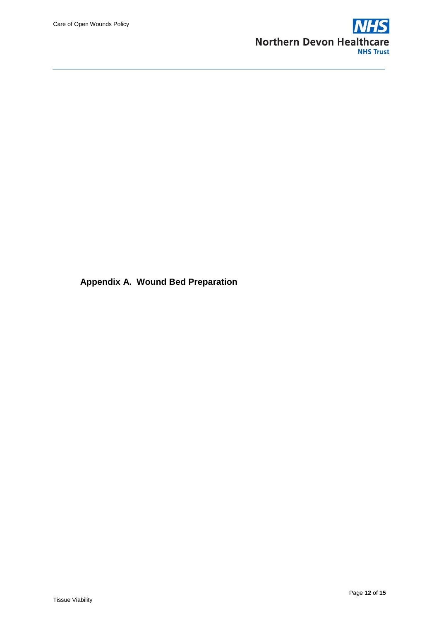

**Appendix A. Wound Bed Preparation**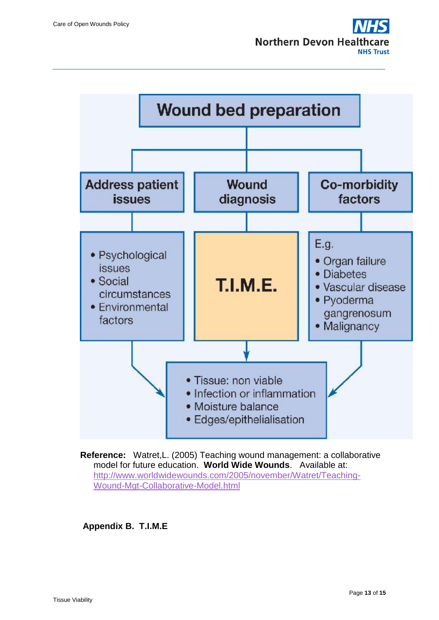

**Reference:** Watret,L. (2005) Teaching wound management: a collaborative model for future education. **World Wide Wounds**. Available at: [http://www.worldwidewounds.com/2005/november/Watret/Teaching-](http://www.worldwidewounds.com/2005/november/Watret/Teaching-Wound-Mgt-Collaborative-Model.html)[Wound-Mgt-Collaborative-Model.html](http://www.worldwidewounds.com/2005/november/Watret/Teaching-Wound-Mgt-Collaborative-Model.html) 

**Appendix B. T.I.M.E**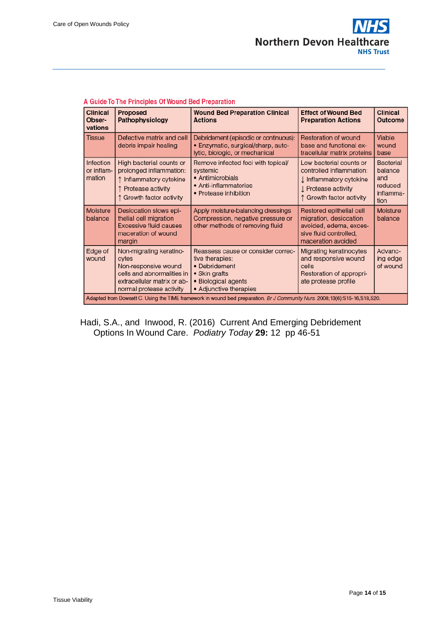

| Clinical<br>Obser-<br>vations                                                                                              | Proposed<br>Pathophysiology                                                                                                                       | <b>Wound Bed Preparation Clinical</b><br><b>Actions</b>                                                                                  | <b>Effect of Wound Bed</b><br><b>Preparation Actions</b>                                                                          | <b>Clinical</b><br>Outcome                                         |  |  |
|----------------------------------------------------------------------------------------------------------------------------|---------------------------------------------------------------------------------------------------------------------------------------------------|------------------------------------------------------------------------------------------------------------------------------------------|-----------------------------------------------------------------------------------------------------------------------------------|--------------------------------------------------------------------|--|--|
| <b>Tissue</b>                                                                                                              | Defective matrix and cell<br>debris impair healing                                                                                                | Debridement (episodic or continuous):<br>• Enzymatic, surgical/sharp, auto-<br>lytic, biologic, or mechanical                            | Restoration of wound<br>base and functional ex-<br>tracellular matrix proteins                                                    | Viable<br>wound<br>base                                            |  |  |
| <b>Infection</b><br>or inflam-<br>mation                                                                                   | High bacterial counts or<br>prolonged inflammation:<br>Inflammatory cytokine<br>↑ Protease activity<br>↑ Growth factor activity                   | Remove infected foci with topical/<br>systemic<br>• Antimicrobials<br>• Anti-inflammatories<br>• Protease inhibition                     | Low bacterial counts or<br>controlled inflammation:<br>I Inflammatory cytokine<br>L Protease activity<br>↑ Growth factor activity | <b>Bacterial</b><br>balance<br>and<br>reduced<br>inflamma-<br>tion |  |  |
| Moisture<br>balance                                                                                                        | Desiccation slows epi-<br>thelial cell migration<br><b>Excessive fluid causes</b><br>maceration of wound<br>margin                                | Apply moisture-balancing dressings<br>Compression, negative pressure or<br>other methods of removing fluid                               | Restored epithelial cell<br>migration, desiccation<br>avoided, edema, exces-<br>sive fluid controlled,<br>maceration avoided      | Moisture<br>balance                                                |  |  |
| Edge of<br>wound                                                                                                           | Non-migrating keratino-<br>cytes<br>Non-responsive wound<br>cells and abnormalities in<br>extracellular matrix or ab-<br>normal protease activity | Reassess cause or consider correc-<br>tive therapies:<br>• Debridement<br>• Skin grafts<br>• Biological agents<br>• Adjunctive therapies | Migrating keratinocytes<br>and responsive wound<br>cells<br>Restoration of appropri-<br>ate protease profile                      | Advanc-<br>ing edge<br>of wound                                    |  |  |
| Adapted from Dowsett C. Using the TIME framework in wound bed preparation. Br J Community Nurs. 2008;13(6):S15-16,S18,S20. |                                                                                                                                                   |                                                                                                                                          |                                                                                                                                   |                                                                    |  |  |

#### A Guide To The Principles Of Wound Bed Preparation

Hadi, S.A., and Inwood, R. (2016) Current And Emerging Debridement Options In Wound Care. *Podiatry Today* **29:** 12 pp 46-51